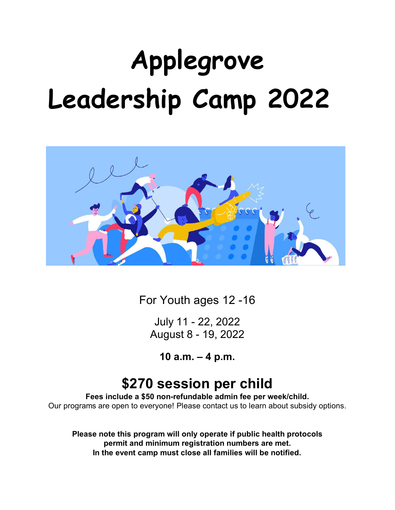# **Applegrove Leadership Camp 2022**



For Youth ages 12 -15

July 11 - 22, 2022 August 8 - 19, 2022

**10 a.m. – 4 p.m.**

# **\$270 session per child**

**Fees include a \$50 non-refundable admin fee per week/child.**  Our programs are open to everyone! Please contact us to learn about subsidy options.

# **Please send all completed forms to childandyouth@applegrovecc.ca**

**Please note this program will only operate if public health protocols permit and minimum registration numbers are met. In the event camp must close all families will be notified.**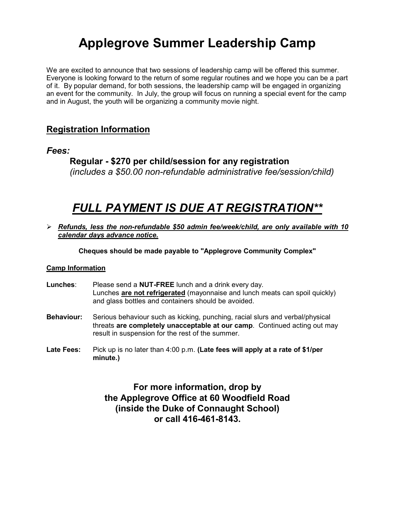# **Applegrove Summer Leadership Camp**

We are excited to announce that two sessions of leadership camp will be offered this summer. Everyone is looking forward to the return of some regular routines and we hope you can be a part of it. By popular demand, for both sessions, the leadership camp will be engaged in organizing an event for the community. In July, the group will focus on running a special event for the camp and in August, the youth will be organizing a community movie night.

# **Registration Information**

# *Fees:*

**Regular - \$270 per child/session for any registration** *(includes a \$50.00 non-refundable administrative fee/session/child)* 

# *FULL PAYMENT IS DUE AT REGISTRATION\*\**

 *Refunds, less the non-refundable \$50 admin fee/week/child, are only available with 10 calendar days advance notice.*

**Cheques should be made payable to "Applegrove Community Complex"**

## **Camp Information**

- **Lunches**: Please send a **NUT-FREE** lunch and a drink every day. Lunches **are not refrigerated** (mayonnaise and lunch meats can spoil quickly) and glass bottles and containers should be avoided.
- **Behaviour:** Serious behaviour such as kicking, punching, racial slurs and verbal/physical threats **are completely unacceptable at our camp**. Continued acting out may result in suspension for the rest of the summer.
- **Late Fees:** Pick up is no later than 4:00 p.m. **(Late fees will apply at a rate of \$1/per minute.)**

**For more information visit our website at www.applegrovecc.ca or call 416-461-8143.**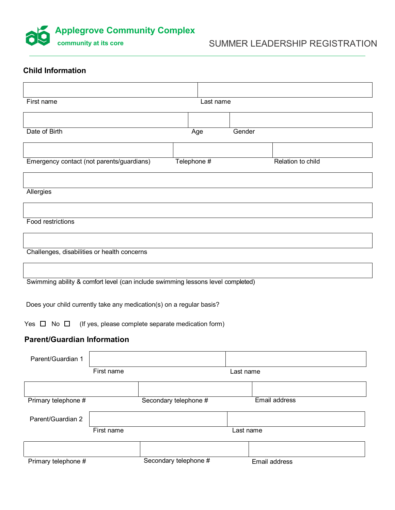$\Box$  $\Box$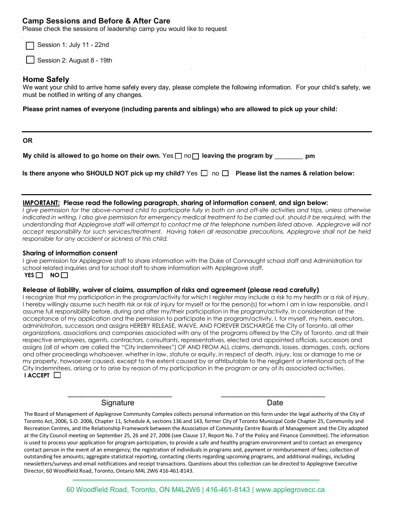## **Leadership Sessions**

Please check the sessions of leadership camp you would like to request

Session 1: July 11 - 22nd

 $\Box$  Session 2: August 8 - 19th

## **Home Safely**

We want your child to arrive home safely every day, please complete the following information. For your child's safety, we must be notified in writing of any changes.

**Please print names of everyone (including parents and siblings) who are allowed to pick up your child:**

#### **OR**

| My child is allowed to go home on their own. Yes $\square$ no $\square$ leaving the program by | $\sqrt{2}$ pm |
|------------------------------------------------------------------------------------------------|---------------|
|------------------------------------------------------------------------------------------------|---------------|

|  |  | Is there anyone who SHOULD NOT pick up my child? Yes $\Box$ no $\Box$ Please list the names & relation below: |
|--|--|---------------------------------------------------------------------------------------------------------------|
|--|--|---------------------------------------------------------------------------------------------------------------|

#### **IMPORTANT: Please read the following paragraph, sharing of information consent, and sign below:**

*I give permission for the above-named child to participate fully in both on and off-site activities and trips, unless otherwise* indicated in writing. I also give permission for emergency medical treatment to be carried out, should it be required, with the *understanding that Applegrove staff will attempt to contact me at the telephone numbers listed above. Applegrove will not accept responsibility for such services/treatment. Having taken all reasonable precautions, Applegrove shall not be held responsible for any accident or sickness of this child.* 

#### **Sharing of information consent**

I give permission for Applegrove staff to share information with the Duke of Connaught school staff and Administration for school related inquiries and for school staff to share information with Applegrove staff. **YES** NO

#### **Release of liability, waiver of claims, assumption of risks and agreement (please read carefully)**

I recognize that my participation in the program/activity for which I register may include a risk to my health or a risk of injury. I hereby willingly assume such health risk or risk of injury for myself or for the person(s) for whom I am in law responsible, and I assume full responsibility before, during and after my/their participation in the program/activity. In consideration of the acceptance of my application and the permission to participate in the program/activity, I, for myself, my heirs, executors, administrators, successors and assigns HEREBY RELEASE, WAIVE, AND FOREVER DISCHARGE the City of Toronto, all other organizations, associations and companies associated with any of the programs offered by the City of Toronto, and all their respective employees, agents, contractors, consultants, representatives, elected and appointed officials, successors and assigns (all of whom are called the "City Indemnitees") OF AND FROM ALL claims, demands, losses, damages, costs, actions and other proceedings whatsoever, whether in law, statute or equity, in respect of death, injury, loss or damage to me or my property, howsoever caused, except to the extent caused by or attributable to the negligent or intentional acts of the City Indemnitees, arising or to arise by reason of my participation in the program or any of its associated activities. **I ACCEPT** 

Signature Date

The Board of Management of Applegrove Community Complex collects personal information on this form under the legal authority of the City of Toronto Act, 2006, S.O. 2006, Chapter 11, Schedule A, sections 136 and 143, former City of Toronto Municipal Code Chapter 25, Community and Recreation Centres, and the Relationship Framework between the Association of Community Centre Boards of Management and the City adopted at the City Council meeting on September 25, 26 and 27, 2006 (see Clause 17, Report No. 7 of the Policy and Finance Committee). The information is used to process your application for program participation, to provide a safe and healthy program environment and to contact an emergency contact person in the event of an emergency; the registration of individuals in programs and, payment or reimbursement of fees; collection of outstanding fee amounts; aggregate statistical reporting, contacting clients regarding upcoming programs, and additional mailings, including newsletters/surveys and email notifications and receipt transactions. Questions about this collection can be directed to Applegrove Executive Director, 60 Woodfield Road, Toronto, Ontario M4L 2W6 416-461-8143.

\_\_\_\_\_\_\_\_\_\_\_\_\_\_\_\_\_\_\_\_\_\_\_\_\_\_\_ \_\_\_\_\_\_\_\_\_\_\_\_\_\_\_\_\_\_\_\_\_\_\_\_\_\_\_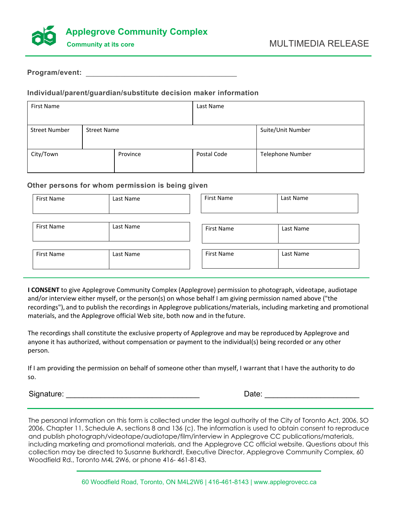



### **Program/event:** \_\_\_\_\_\_\_\_\_\_\_\_\_\_\_\_\_\_\_\_\_\_\_\_\_\_\_\_\_\_\_\_\_\_\_\_\_\_\_

## **Individual/parent/guardian/substitute decision maker information**

| First Name           |                    |          | Last Name   |                   |
|----------------------|--------------------|----------|-------------|-------------------|
|                      |                    |          |             |                   |
| <b>Street Number</b> | <b>Street Name</b> |          |             | Suite/Unit Number |
|                      |                    |          |             |                   |
| City/Town            |                    | Province | Postal Code | Telephone Number  |
|                      |                    |          |             |                   |

#### **Other persons for whom permission is being given**

| First Name | Last Name | First Name        | Last Name |  |
|------------|-----------|-------------------|-----------|--|
| First Name | Last Name | <b>First Name</b> | Last Name |  |
| First Name | Last Name | <b>First Name</b> | Last Name |  |

**I CONSENT** to give Applegrove Community Complex (Applegrove) permission to photograph, videotape, audiotape and/or interview either myself, or the person(s) on whose behalf I am giving permission named above ("the recordings"), and to publish the recordings in Applegrove publications/materials, including marketing and promotional materials, and the Applegrove official Web site, both now and in thefuture.

The recordings shall constitute the exclusive property of Applegrove and may be reproduced by Applegrove and anyone it has authorized, without compensation or payment to the individual(s) being recorded or any other person.

If I am providing the permission on behalf of someone other than myself, I warrant that I have the authority to do so.

Signature: \_\_\_\_\_\_\_\_\_\_\_\_\_\_\_\_\_\_\_\_\_\_\_\_\_\_\_\_\_\_\_ Date: \_\_\_\_\_\_\_\_\_\_\_\_\_\_\_\_\_\_\_\_\_\_

The personal information on this form is collected under the legal authority of the City of Toronto Act, 2006, SO 2006, Chapter 11, Schedule A, sections 8 and 136 (c). The information is used to obtain consent to reproduce and publish photograph/videotape/audiotape/film/interview in Applegrove CC publications/materials, including marketing and promotional materials, and the Applegrove CC official website. Questions about this collection may be directed to Susanne Burkhardt, Executive Director, Applegrove Community Complex, 60 Woodfield Rd., Toronto M4L 2W6, or phone 416- 461-8143.